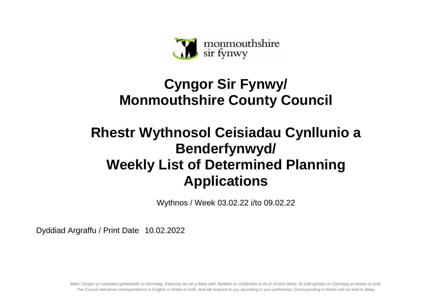

## **Cyngor Sir Fynwy/ Monmouthshire County Council**

## **Rhestr Wythnosol Ceisiadau Cynllunio a Benderfynwyd/ Weekly List of Determined Planning Applications**

Wythnos / Week 03.02.22 i/to 09.02.22

Dyddiad Argraffu / Print Date 10.02.2022

Mae'r Cyngor yn croesawu gohebiaeth yn Gymraeg, Saesneg neu yn y ddwy iaith. Byddwn yn cyfathrebu â chi yn ôl eich dewis. Ni fydd gohebu yn Gymraeg yn arwain at oedi. The Council welcomes correspondence in English or Welsh or both, and will respond to you according to your preference. Corresponding in Welsh will not lead to delay.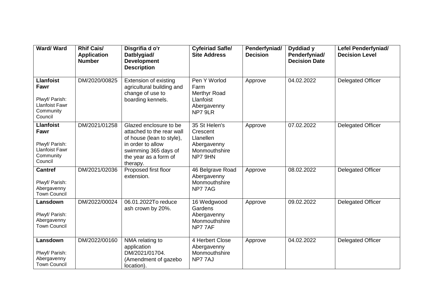| Ward/Ward                                                                                   | <b>Rhif Cais/</b><br><b>Application</b><br><b>Number</b> | Disgrifia d o'r<br>Datblygiad/<br><b>Development</b><br><b>Description</b>                                                                                         | <b>Cyfeiriad Safle/</b><br><b>Site Address</b>                                    | Penderfyniad/<br><b>Decision</b> | Dyddiad y<br>Penderfyniad/<br><b>Decision Date</b> | <b>Lefel Penderfyniad/</b><br><b>Decision Level</b> |
|---------------------------------------------------------------------------------------------|----------------------------------------------------------|--------------------------------------------------------------------------------------------------------------------------------------------------------------------|-----------------------------------------------------------------------------------|----------------------------------|----------------------------------------------------|-----------------------------------------------------|
| <b>Llanfoist</b><br>Fawr<br>Plwyf/ Parish:<br><b>Llanfoist Fawr</b><br>Community<br>Council | DM/2020/00825                                            | <b>Extension of existing</b><br>agricultural building and<br>change of use to<br>boarding kennels.                                                                 | Pen Y Worlod<br>Farm<br>Merthyr Road<br>Llanfoist<br>Abergavenny<br>NP7 9LR       | Approve                          | 04.02.2022                                         | <b>Delegated Officer</b>                            |
| <b>Llanfoist</b><br>Fawr<br>Plwyf/ Parish:<br><b>Llanfoist Fawr</b><br>Community<br>Council | DM/2021/01258                                            | Glazed enclosure to be<br>attached to the rear wall<br>of house (lean to style),<br>in order to allow<br>swimming 365 days of<br>the year as a form of<br>therapy. | 35 St Helen's<br>Crescent<br>Llanellen<br>Abergavenny<br>Monmouthshire<br>NP7 9HN | Approve                          | 07.02.2022                                         | <b>Delegated Officer</b>                            |
| <b>Cantref</b><br>Plwyf/ Parish:<br>Abergavenny<br><b>Town Council</b>                      | DM/2021/02036                                            | Proposed first floor<br>extension.                                                                                                                                 | 46 Belgrave Road<br>Abergavenny<br>Monmouthshire<br>NP77AG                        | Approve                          | 08.02.2022                                         | <b>Delegated Officer</b>                            |
| Lansdown<br>Plwyf/ Parish:<br>Abergavenny<br><b>Town Council</b>                            | DM/2022/00024                                            | 06.01.2022To reduce<br>ash crown by 20%.                                                                                                                           | 16 Wedgwood<br>Gardens<br>Abergavenny<br>Monmouthshire<br>NP77AF                  | Approve                          | 09.02.2022                                         | <b>Delegated Officer</b>                            |
| Lansdown<br>Plwyf/ Parish:<br>Abergavenny<br><b>Town Council</b>                            | DM/2022/00160                                            | NMA relating to<br>application<br>DM/2021/01704.<br>(Amendment of gazebo<br>location).                                                                             | 4 Herbert Close<br>Abergavenny<br>Monmouthshire<br>NP77AJ                         | Approve                          | 04.02.2022                                         | <b>Delegated Officer</b>                            |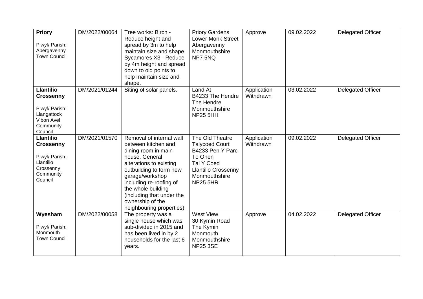| <b>Priory</b><br>Plwyf/ Parish:<br>Abergavenny<br><b>Town Council</b>                                       | DM/2022/00064 | Tree works: Birch -<br>Reduce height and<br>spread by 3m to help<br>maintain size and shape.<br>Sycamores X3 - Reduce<br>by 4m height and spread<br>down to old points to<br>help maintain size and<br>shape.                                                                                    | <b>Priory Gardens</b><br><b>Lower Monk Street</b><br>Abergavenny<br>Monmouthshire<br>NP7 5NQ                                                                   | Approve                  | 09.02.2022 | <b>Delegated Officer</b> |
|-------------------------------------------------------------------------------------------------------------|---------------|--------------------------------------------------------------------------------------------------------------------------------------------------------------------------------------------------------------------------------------------------------------------------------------------------|----------------------------------------------------------------------------------------------------------------------------------------------------------------|--------------------------|------------|--------------------------|
| <b>Llantilio</b><br><b>Crossenny</b><br>Plwyf/ Parish:<br>Llangattock<br>Vibon Avel<br>Community<br>Council | DM/2021/01244 | Siting of solar panels.                                                                                                                                                                                                                                                                          | Land At<br>B4233 The Hendre<br>The Hendre<br>Monmouthshire<br><b>NP25 5HH</b>                                                                                  | Application<br>Withdrawn | 03.02.2022 | Delegated Officer        |
| <b>Llantilio</b><br><b>Crossenny</b><br>Plwyf/ Parish:<br>Llantilio<br>Crossenny<br>Community<br>Council    | DM/2021/01570 | Removal of internal wall<br>between kitchen and<br>dining room in main<br>house. General<br>alterations to existing<br>outbuilding to form new<br>garage/workshop<br>including re-roofing of<br>the whole building<br>(including that under the<br>ownership of the<br>neighbouring properties). | The Old Theatre<br><b>Talycoed Court</b><br>B4233 Pen Y Parc<br>To Onen<br><b>Tal Y Coed</b><br><b>Llantilio Crossenny</b><br>Monmouthshire<br><b>NP25 5HR</b> | Application<br>Withdrawn | 09.02.2022 | <b>Delegated Officer</b> |
| Wyesham<br>Plwyf/ Parish:<br>Monmouth<br><b>Town Council</b>                                                | DM/2022/00058 | The property was a<br>single house which was<br>sub-divided in 2015 and<br>has been lived in by 2<br>households for the last 6<br>years.                                                                                                                                                         | <b>West View</b><br>30 Kymin Road<br>The Kymin<br>Monmouth<br>Monmouthshire<br><b>NP25 3SE</b>                                                                 | Approve                  | 04.02.2022 | <b>Delegated Officer</b> |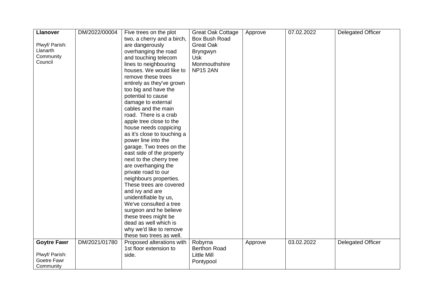| <b>Llanover</b>    | DM/2022/00004 | Five trees on the plot      | <b>Great Oak Cottage</b> | Approve | 07.02.2022 | <b>Delegated Officer</b> |
|--------------------|---------------|-----------------------------|--------------------------|---------|------------|--------------------------|
|                    |               | two, a cherry and a birch,  | Box Bush Road            |         |            |                          |
| Plwyf/ Parish:     |               | are dangerously             | <b>Great Oak</b>         |         |            |                          |
| Llanarth           |               | overhanging the road        | Bryngwyn                 |         |            |                          |
| Community          |               | and touching telecom        | <b>Usk</b>               |         |            |                          |
| Council            |               | lines to neighbouring       | Monmouthshire            |         |            |                          |
|                    |               | houses. We would like to    | <b>NP15 2AN</b>          |         |            |                          |
|                    |               | remove these trees          |                          |         |            |                          |
|                    |               |                             |                          |         |            |                          |
|                    |               | entirely as they've grown   |                          |         |            |                          |
|                    |               | too big and have the        |                          |         |            |                          |
|                    |               | potential to cause          |                          |         |            |                          |
|                    |               | damage to external          |                          |         |            |                          |
|                    |               | cables and the main         |                          |         |            |                          |
|                    |               | road. There is a crab       |                          |         |            |                          |
|                    |               | apple tree close to the     |                          |         |            |                          |
|                    |               | house needs coppicing       |                          |         |            |                          |
|                    |               | as it's close to touching a |                          |         |            |                          |
|                    |               | power line into the         |                          |         |            |                          |
|                    |               | garage. Two trees on the    |                          |         |            |                          |
|                    |               | east side of the property   |                          |         |            |                          |
|                    |               | next to the cherry tree     |                          |         |            |                          |
|                    |               | are overhanging the         |                          |         |            |                          |
|                    |               | private road to our         |                          |         |            |                          |
|                    |               | neighbours properties.      |                          |         |            |                          |
|                    |               | These trees are covered     |                          |         |            |                          |
|                    |               | and ivy and are             |                          |         |            |                          |
|                    |               | unidentifiable by us,       |                          |         |            |                          |
|                    |               | We've consulted a tree      |                          |         |            |                          |
|                    |               | surgeon and he believe      |                          |         |            |                          |
|                    |               | these trees might be        |                          |         |            |                          |
|                    |               | dead as well which is       |                          |         |            |                          |
|                    |               | why we'd like to remove     |                          |         |            |                          |
|                    |               | these two trees as well.    |                          |         |            |                          |
| <b>Goytre Fawr</b> | DM/2021/01780 | Proposed alterations with   | Robyrna                  | Approve | 03.02.2022 | <b>Delegated Officer</b> |
|                    |               | 1st floor extension to      | <b>Berthon Road</b>      |         |            |                          |
| Plwyf/ Parish:     |               | side.                       | <b>Little Mill</b>       |         |            |                          |
| Goetre Fawr        |               |                             | Pontypool                |         |            |                          |
| Community          |               |                             |                          |         |            |                          |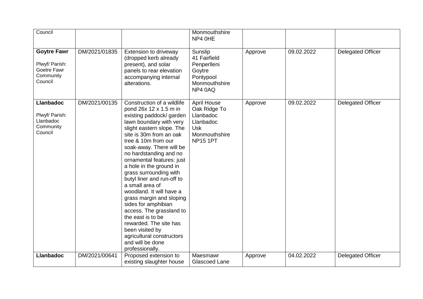| Council                                                                     |               |                                                                                                                                                                                                                                                                                                                                                                                                                                                                                                                                                                                                                                      | Monmouthshire<br>NP4 OHE                                                                                       |         |            |                          |
|-----------------------------------------------------------------------------|---------------|--------------------------------------------------------------------------------------------------------------------------------------------------------------------------------------------------------------------------------------------------------------------------------------------------------------------------------------------------------------------------------------------------------------------------------------------------------------------------------------------------------------------------------------------------------------------------------------------------------------------------------------|----------------------------------------------------------------------------------------------------------------|---------|------------|--------------------------|
| <b>Goytre Fawr</b><br>Plwyf/ Parish:<br>Goetre Fawr<br>Community<br>Council | DM/2021/01835 | Extension to driveway<br>(dropped kerb already<br>present), and solar<br>panels to rear elevation<br>accompanying internal<br>alterations.                                                                                                                                                                                                                                                                                                                                                                                                                                                                                           | Sunslip<br>41 Fairfield<br>Penperlleni<br>Goytre<br>Pontypool<br>Monmouthshire<br>NP4 0AQ                      | Approve | 09.02.2022 | <b>Delegated Officer</b> |
| <b>Llanbadoc</b><br>Plwyf/ Parish:<br>Llanbadoc<br>Community<br>Council     | DM/2021/00135 | Construction of a wildlife<br>pond 26x 12 x 1.5 m in<br>existing paddock/ garden<br>lawn boundary with very<br>slight eastern slope. The<br>site is 30m from an oak<br>tree & 10m from our<br>soak-away. There will be<br>no hardstanding and no<br>ornamental features: just<br>a hole in the ground in<br>grass surrounding with<br>butyl liner and run-off to<br>a small area of<br>woodland. It will have a<br>grass margin and sloping<br>sides for amphibian<br>access. The grassland to<br>the east is to be<br>rewarded. The site has<br>been visited by<br>agricultural constructors<br>and will be done<br>professionally. | <b>April House</b><br>Oak Ridge To<br>Llanbadoc<br>Llanbadoc<br><b>Usk</b><br>Monmouthshire<br><b>NP15 1PT</b> | Approve | 09.02.2022 | <b>Delegated Officer</b> |
| <b>Llanbadoc</b>                                                            | DM/2021/00641 | Proposed extension to<br>existing slaughter house                                                                                                                                                                                                                                                                                                                                                                                                                                                                                                                                                                                    | Maesmawr<br>Glascoed Lane                                                                                      | Approve | 04.02.2022 | <b>Delegated Officer</b> |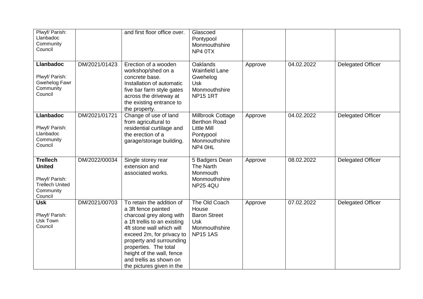| Plwyf/ Parish:<br>Llanbadoc<br>Community<br>Council                                                  |               | and first floor office over.                                                                                                                                                                                                                                                                                     | Glascoed<br>Pontypool<br>Monmouthshire<br>NP4 0TX                                                       |         |            |                          |
|------------------------------------------------------------------------------------------------------|---------------|------------------------------------------------------------------------------------------------------------------------------------------------------------------------------------------------------------------------------------------------------------------------------------------------------------------|---------------------------------------------------------------------------------------------------------|---------|------------|--------------------------|
| <b>Llanbadoc</b><br>Plwyf/ Parish:<br>Gwehelog Fawr<br>Community<br>Council                          | DM/2021/01423 | Erection of a wooden<br>workshop/shed on a<br>concrete base.<br>Installation of automatic<br>five bar farm style gates<br>across the driveway at<br>the existing entrance to<br>the property.                                                                                                                    | Oaklands<br><b>Wainfield Lane</b><br>Gwehelog<br><b>Usk</b><br>Monmouthshire<br><b>NP15 1RT</b>         | Approve | 04.02.2022 | <b>Delegated Officer</b> |
| <b>Llanbadoc</b><br>Plwyf/ Parish:<br>Llanbadoc<br>Community<br>Council                              | DM/2021/01721 | Change of use of land<br>from agricultural to<br>residential curtilage and<br>the erection of a<br>garage/storage building.                                                                                                                                                                                      | Millbrook Cottage<br><b>Berthon Road</b><br><b>Little Mill</b><br>Pontypool<br>Monmouthshire<br>NP4 0HL | Approve | 04.02.2022 | <b>Delegated Officer</b> |
| <b>Trellech</b><br><b>United</b><br>Plwyf/ Parish:<br><b>Trellech United</b><br>Community<br>Council | DM/2022/00034 | Single storey rear<br>extension and<br>associated works.                                                                                                                                                                                                                                                         | 5 Badgers Dean<br>The Narth<br>Monmouth<br>Monmouthshire<br><b>NP25 4QU</b>                             | Approve | 08.02.2022 | <b>Delegated Officer</b> |
| <b>Usk</b><br>Plwyf/ Parish:<br>Usk Town<br>Council                                                  | DM/2021/00703 | To retain the addition of<br>a 3ft fence painted<br>charcoal grey along with<br>a 1ft trellis to an existing<br>4ft stone wall which will<br>exceed 2m, for privacy to<br>property and surrounding<br>properties. The total<br>height of the wall, fence<br>and trellis as shown on<br>the pictures given in the | The Old Coach<br>House<br><b>Baron Street</b><br><b>Usk</b><br>Monmouthshire<br><b>NP15 1AS</b>         | Approve | 07.02.2022 | <b>Delegated Officer</b> |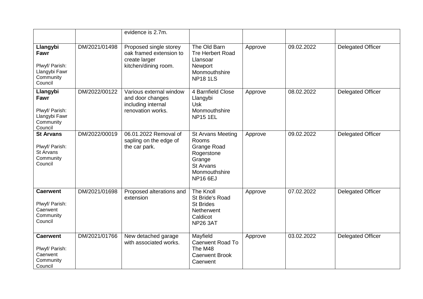|                                                                             |               | evidence is 2.7m.                                                                          |                                                                                                                                         |         |            |                          |
|-----------------------------------------------------------------------------|---------------|--------------------------------------------------------------------------------------------|-----------------------------------------------------------------------------------------------------------------------------------------|---------|------------|--------------------------|
| Llangybi<br>Fawr<br>Plwyf/ Parish:<br>Llangybi Fawr<br>Community<br>Council | DM/2021/01498 | Proposed single storey<br>oak framed extension to<br>create larger<br>kitchen/dining room. | The Old Barn<br><b>Tre Herbert Road</b><br>Llansoar<br>Newport<br>Monmouthshire<br><b>NP18 1LS</b>                                      | Approve | 09.02.2022 | <b>Delegated Officer</b> |
| Llangybi<br>Fawr<br>Plwyf/ Parish:<br>Llangybi Fawr<br>Community<br>Council | DM/2022/00122 | Various external window<br>and door changes<br>including internal<br>renovation works.     | 4 Barnfield Close<br>Llangybi<br><b>Usk</b><br>Monmouthshire<br><b>NP15 1EL</b>                                                         | Approve | 08.02.2022 | <b>Delegated Officer</b> |
| <b>St Arvans</b><br>Plwyf/ Parish:<br>St Arvans<br>Community<br>Council     | DM/2022/00019 | 06.01.2022 Removal of<br>sapling on the edge of<br>the car park.                           | <b>St Arvans Meeting</b><br>Rooms<br><b>Grange Road</b><br>Rogerstone<br>Grange<br><b>St Arvans</b><br>Monmouthshire<br><b>NP16 6EJ</b> | Approve | 09.02.2022 | <b>Delegated Officer</b> |
| <b>Caerwent</b><br>Plwyf/ Parish:<br>Caerwent<br>Community<br>Council       | DM/2021/01698 | Proposed alterations and<br>extension                                                      | <b>The Knoll</b><br>St Bride's Road<br><b>St Brides</b><br>Netherwent<br>Caldicot<br><b>NP26 3AT</b>                                    | Approve | 07.02.2022 | <b>Delegated Officer</b> |
| <b>Caerwent</b><br>Plwyf/ Parish:<br>Caerwent<br>Community<br>Council       | DM/2021/01766 | New detached garage<br>with associated works.                                              | Mayfield<br>Caerwent Road To<br>The M48<br><b>Caerwent Brook</b><br>Caerwent                                                            | Approve | 03.02.2022 | <b>Delegated Officer</b> |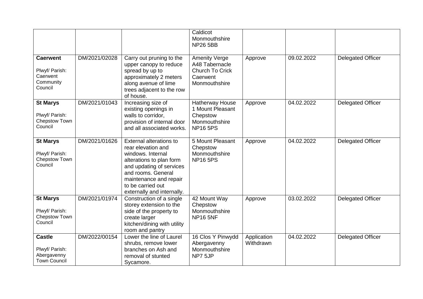|                                                                       |               |                                                                                                                                                                                                                               | Caldicot<br>Monmouthshire<br><b>NP26 5BB</b>                                                  |                          |            |                          |
|-----------------------------------------------------------------------|---------------|-------------------------------------------------------------------------------------------------------------------------------------------------------------------------------------------------------------------------------|-----------------------------------------------------------------------------------------------|--------------------------|------------|--------------------------|
| <b>Caerwent</b><br>Plwyf/ Parish:<br>Caerwent<br>Community<br>Council | DM/2021/02028 | Carry out pruning to the<br>upper canopy to reduce<br>spread by up to<br>approximately 2 meters<br>along avenue of lime<br>trees adjacent to the row<br>of house.                                                             | <b>Amenity Verge</b><br>A48 Tabernacle<br><b>Church To Crick</b><br>Caerwent<br>Monmouthshire | Approve                  | 09.02.2022 | <b>Delegated Officer</b> |
| <b>St Marys</b><br>Plwyf/ Parish:<br>Chepstow Town<br>Council         | DM/2021/01043 | Increasing size of<br>existing openings in<br>walls to corridor,<br>provision of internal door<br>and all associated works.                                                                                                   | Hatherway House<br>1 Mount Pleasant<br>Chepstow<br>Monmouthshire<br><b>NP165PS</b>            | Approve                  | 04.02.2022 | <b>Delegated Officer</b> |
| <b>St Marys</b><br>Plwyf/ Parish:<br>Chepstow Town<br>Council         | DM/2021/01626 | External alterations to<br>rear elevation and<br>windows. Internal<br>alterations to plan form<br>and updating of services<br>and rooms. General<br>maintenance and repair<br>to be carried out<br>externally and internally. | 5 Mount Pleasant<br>Chepstow<br>Monmouthshire<br><b>NP165PS</b>                               | Approve                  | 04.02.2022 | <b>Delegated Officer</b> |
| <b>St Marys</b><br>Plwyf/ Parish:<br>Chepstow Town<br>Council         | DM/2021/01974 | Construction of a single<br>storey extension to the<br>side of the property to<br>create larger<br>kitchen/dining with utility<br>room and pantry                                                                             | 42 Mount Way<br>Chepstow<br>Monmouthshire<br><b>NP16 5NF</b>                                  | Approve                  | 03.02.2022 | <b>Delegated Officer</b> |
| <b>Castle</b><br>Plwyf/ Parish:<br>Abergavenny<br><b>Town Council</b> | DM/2022/00154 | Lower the line of Laurel<br>shrubs, remove lower<br>branches on Ash and<br>removal of stunted<br>Sycamore.                                                                                                                    | 16 Clos Y Pinwydd<br>Abergavenny<br>Monmouthshire<br>NP7 5JP                                  | Application<br>Withdrawn | 04.02.2022 | <b>Delegated Officer</b> |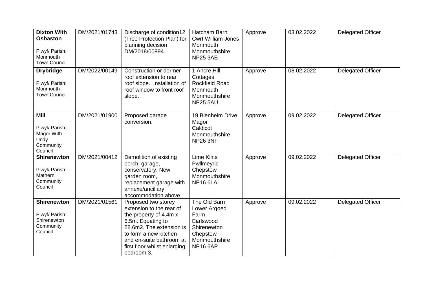| <b>Dixton With</b><br><b>Osbaston</b><br>Plwyf/ Parish:<br>Monmouth<br><b>Town Council</b> | DM/2021/01743 | Discharge of condition12<br>(Tree Protection Plan) for<br>planning decision<br>DM/2018/00894.                                                                                                                                 | Hatcham Barn<br><b>Cwrt William Jones</b><br>Monmouth<br>Monmouthshire<br><b>NP25 3AE</b>                        | Approve | 03.02.2022 | <b>Delegated Officer</b> |
|--------------------------------------------------------------------------------------------|---------------|-------------------------------------------------------------------------------------------------------------------------------------------------------------------------------------------------------------------------------|------------------------------------------------------------------------------------------------------------------|---------|------------|--------------------------|
| <b>Drybridge</b><br>Plwyf/ Parish:<br>Monmouth<br><b>Town Council</b>                      | DM/2022/00149 | Construction or dormer<br>roof extension to rear<br>roof slope. Installation of<br>roof window to front roof<br>slope.                                                                                                        | 1 Ancre Hill<br>Cottages<br><b>Rockfield Road</b><br>Monmouth<br>Monmouthshire<br><b>NP25 5AU</b>                | Approve | 08.02.2022 | <b>Delegated Officer</b> |
| <b>Mill</b><br>Plwyf/ Parish:<br>Magor With<br>Undy<br>Community<br>Council                | DM/2021/01900 | Proposed garage<br>conversion.                                                                                                                                                                                                | 19 Blenheim Drive<br>Magor<br>Caldicot<br>Monmouthshire<br><b>NP26 3NF</b>                                       | Approve | 09.02.2022 | <b>Delegated Officer</b> |
| <b>Shirenewton</b><br>Plwyf/ Parish:<br>Mathern<br>Community<br>Council                    | DM/2021/00412 | Demolition of existing<br>porch, garage,<br>conservatory. New<br>garden room,<br>replacement garage with<br>annexe/ancillary<br>accommodation above.                                                                          | <b>Lime Kilns</b><br>Pwllmeyric<br>Chepstow<br>Monmouthshire<br><b>NP16 6LA</b>                                  | Approve | 09.02.2022 | Delegated Officer        |
| <b>Shirenewton</b><br>Plwyf/ Parish:<br>Shirenewton<br>Community<br>Council                | DM/2021/01561 | Proposed two storey<br>extension to the rear of<br>the property of 4.4m x<br>6.5m. Equating to<br>28.6m2. The extension is<br>to form a new kitchen<br>and en-suite bathroom at<br>first floor whilst enlarging<br>bedroom 3. | The Old Barn<br>Lower Argoed<br>Farm<br>Earlswood<br>Shirenewton<br>Chepstow<br>Monmouthshire<br><b>NP16 6AP</b> | Approve | 09.02.2022 | Delegated Officer        |